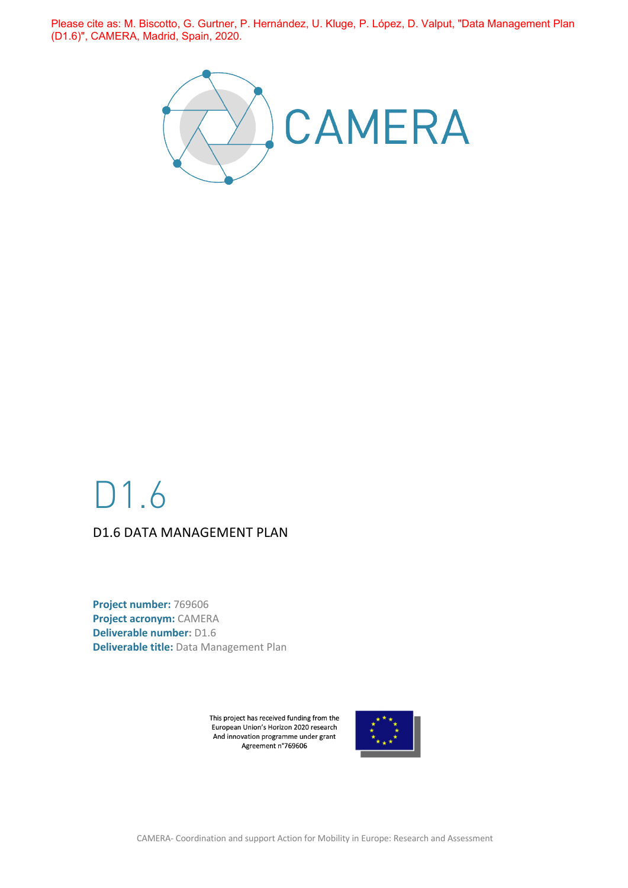Please cite as: M. Biscotto, G. Gurtner, P. Hernández, U. Kluge, P. López, D. Valput, "Data Management Plan (D1.6)", CAMERA, Madrid, Spain, 2020.



## D1.6 D1.6 DATA MANAGEMENT PLAN

**Project number:** 769606 **Project acronym:** CAMERA **Deliverable number:** D1.6 **Deliverable title:** Data Management Plan

> This project has received funding from the European Union's Horizon 2020 research And innovation programme under grant Agreement n°769606



CAMERA- Coordination and support Action for Mobility in Europe: Research and Assessment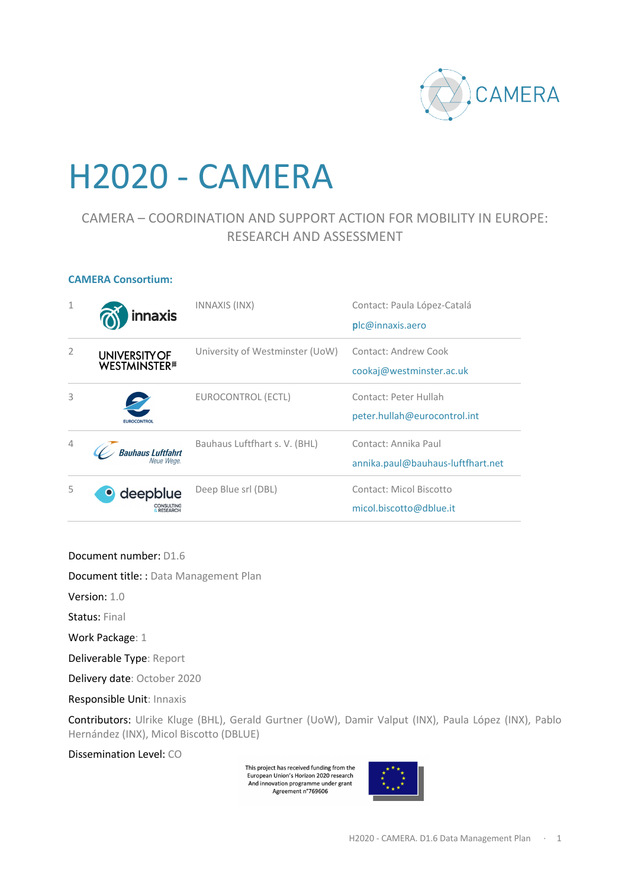

# H2020 - CAMERA

## CAMERA – COORDINATION AND SUPPORT ACTION FOR MOBILITY IN EUROPE: RESEARCH AND ASSESSMENT

#### **CAMERA Consortium:**

| $\mathbf{1}$   | innaxis                                                  | INNAXIS (INX)                   | Contact: Paula López-Catalá<br>plc@innaxis.aero           |
|----------------|----------------------------------------------------------|---------------------------------|-----------------------------------------------------------|
| $\overline{2}$ | <b>UNIVERSITY OF</b><br><b>WESTMINSTER</b> <sup>#1</sup> | University of Westminster (UoW) | Contact: Andrew Cook<br>cookaj@westminster.ac.uk          |
| 3              | <b>EUROCONTROL</b>                                       | EUROCONTROL (ECTL)              | Contact: Peter Hullah<br>peter.hullah@eurocontrol.int     |
| $\overline{4}$ | Bauhaus Luftfahrt<br>Neue Wege.                          | Bauhaus Luftfhart s. V. (BHL)   | Contact: Annika Paul<br>annika.paul@bauhaus-luftfhart.net |
| 5              | deepblue<br>$\bullet$                                    | Deep Blue srl (DBL)             | Contact: Micol Biscotto<br>micol.biscotto@dblue.it        |

Document number: D1.6

Document title: : Data Management Plan

Version: 1.0

Status: Final

Work Package: 1

Deliverable Type: Report

Delivery date: October 2020

Responsible Unit: Innaxis

Contributors: Ulrike Kluge (BHL), Gerald Gurtner (UoW), Damir Valput (INX), Paula López (INX), Pablo Hernández (INX), Micol Biscotto (DBLUE)

Dissemination Level: CO

This project has received funding from the European Union's Horizon 2020 research And innovation programme under grant<br>Agreement n°769606

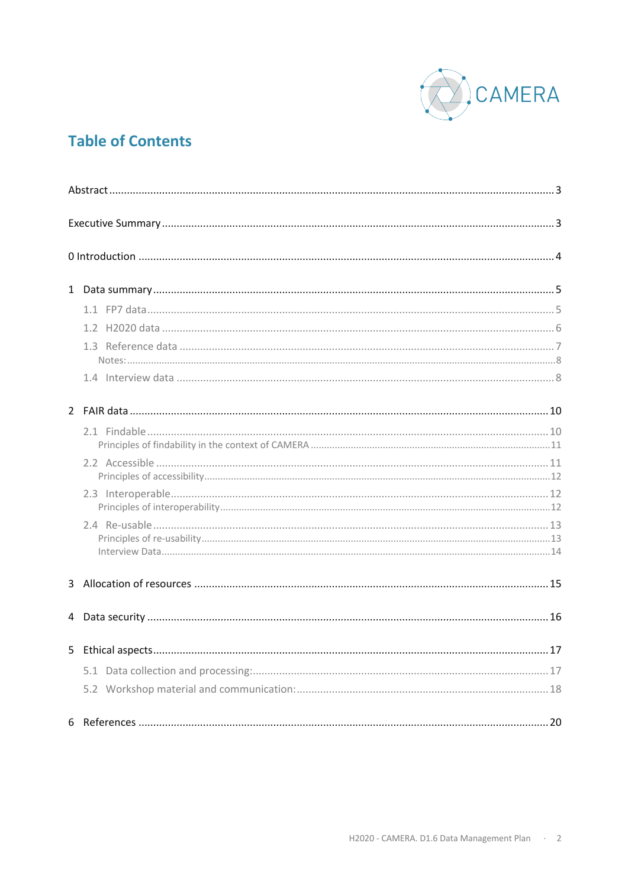

## **Table of Contents**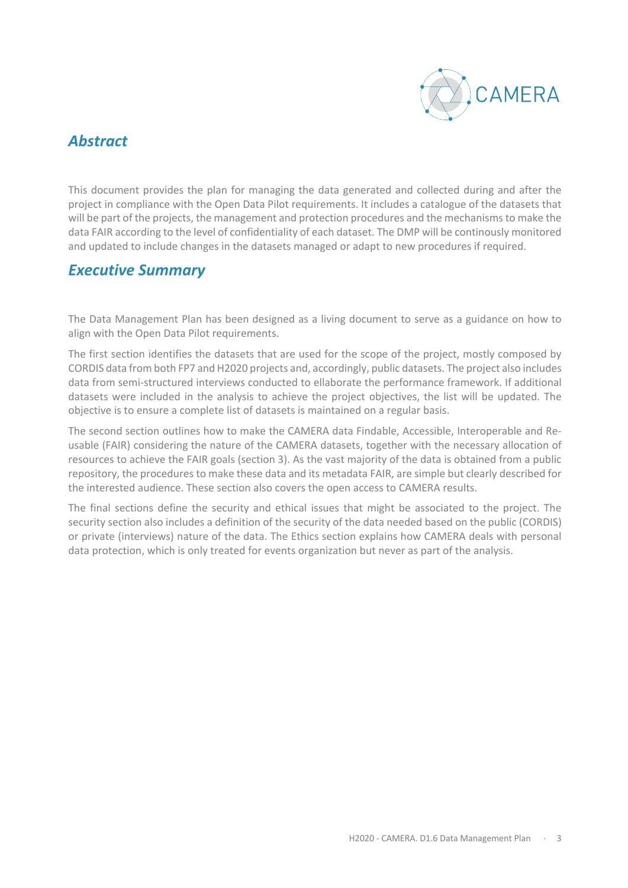

## *Abstract*

This document provides the plan for managing the data generated and collected during and after the project in compliance with the Open Data Pilot requirements. It includes a catalogue of the datasets that will be part of the projects, the management and protection procedures and the mechanisms to make the data FAIR according to the level of confidentiality of each dataset. The DMP will be continously monitored and updated to include changes in the datasets managed or adapt to new procedures if required.

## *Executive Summary*

The Data Management Plan has been designed as a living document to serve as a guidance on how to align with the Open Data Pilot requirements.

The first section identifies the datasets that are used for the scope of the project, mostly composed by CORDIS data from both FP7 and H2020 projects and, accordingly, public datasets. The project also includes data from semi-structured interviews conducted to ellaborate the performance framework. If additional datasets were included in the analysis to achieve the project objectives, the list will be updated. The objective is to ensure a complete list of datasets is maintained on a regular basis.

The second section outlines how to make the CAMERA data Findable, Accessible, Interoperable and Reusable (FAIR) considering the nature of the CAMERA datasets, together with the necessary allocation of resources to achieve the FAIR goals (section 3). As the vast majority of the data is obtained from a public repository, the procedures to make these data and its metadata FAIR, are simple but clearly described for the interested audience. These section also covers the open access to CAMERA results.

The final sections define the security and ethical issues that might be associated to the project. The security section also includes a definition of the security of the data needed based on the public (CORDIS) or private (interviews) nature of the data. The Ethics section explains how CAMERA deals with personal data protection, which is only treated for events organization but never as part of the analysis.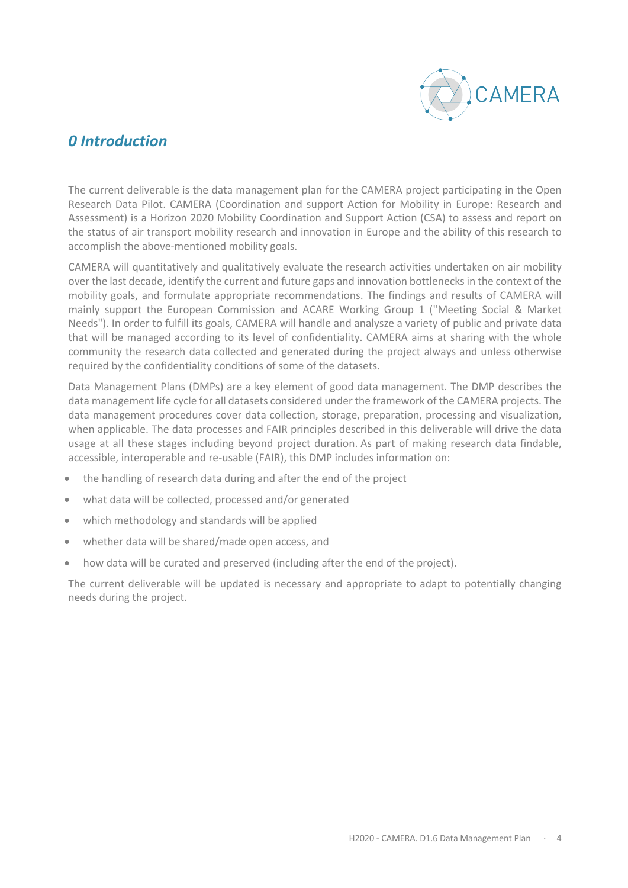

## *0 Introduction*

The current deliverable is the data management plan for the CAMERA project participating in the Open Research Data Pilot. CAMERA (Coordination and support Action for Mobility in Europe: Research and Assessment) is a Horizon 2020 Mobility Coordination and Support Action (CSA) to assess and report on the status of air transport mobility research and innovation in Europe and the ability of this research to accomplish the above-mentioned mobility goals.

CAMERA will quantitatively and qualitatively evaluate the research activities undertaken on air mobility over the last decade, identify the current and future gaps and innovation bottlenecks in the context of the mobility goals, and formulate appropriate recommendations. The findings and results of CAMERA will mainly support the European Commission and ACARE Working Group 1 ("Meeting Social & Market Needs"). In order to fulfill its goals, CAMERA will handle and analysze a variety of public and private data that will be managed according to its level of confidentiality. CAMERA aims at sharing with the whole community the research data collected and generated during the project always and unless otherwise required by the confidentiality conditions of some of the datasets.

Data Management Plans (DMPs) are a key element of good data management. The DMP describes the data management life cycle for all datasets considered under the framework of the CAMERA projects. The data management procedures cover data collection, storage, preparation, processing and visualization, when applicable. The data processes and FAIR principles described in this deliverable will drive the data usage at all these stages including beyond project duration. As part of making research data findable, accessible, interoperable and re-usable (FAIR), this DMP includes information on:

- the handling of research data during and after the end of the project
- what data will be collected, processed and/or generated
- which methodology and standards will be applied
- whether data will be shared/made open access, and
- how data will be curated and preserved (including after the end of the project).

The current deliverable will be updated is necessary and appropriate to adapt to potentially changing needs during the project.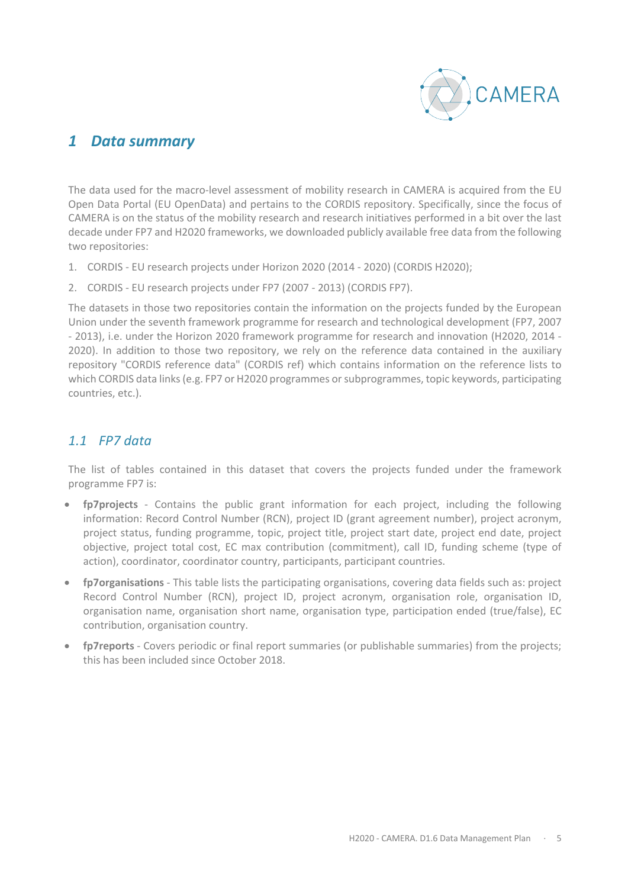

## *1 Data summary*

The data used for the macro-level assessment of mobility research in CAMERA is acquired from the EU Open Data Portal (EU OpenData) and pertains to the CORDIS repository. Specifically, since the focus of CAMERA is on the status of the mobility research and research initiatives performed in a bit over the last decade under FP7 and H2020 frameworks, we downloaded publicly available free data from the following two repositories:

- 1. CORDIS EU research projects under Horizon 2020 (2014 2020) (CORDIS H2020);
- 2. CORDIS EU research projects under FP7 (2007 2013) (CORDIS FP7).

The datasets in those two repositories contain the information on the projects funded by the European Union under the seventh framework programme for research and technological development (FP7, 2007 - 2013), i.e. under the Horizon 2020 framework programme for research and innovation (H2020, 2014 - 2020). In addition to those two repository, we rely on the reference data contained in the auxiliary repository "CORDIS reference data" (CORDIS ref) which contains information on the reference lists to which CORDIS data links (e.g. FP7 or H2020 programmes or subprogrammes, topic keywords, participating countries, etc.).

## *1.1 FP7 data*

The list of tables contained in this dataset that covers the projects funded under the framework programme FP7 is:

- **fp7projects** Contains the public grant information for each project, including the following information: Record Control Number (RCN), project ID (grant agreement number), project acronym, project status, funding programme, topic, project title, project start date, project end date, project objective, project total cost, EC max contribution (commitment), call ID, funding scheme (type of action), coordinator, coordinator country, participants, participant countries.
- **fp7organisations** This table lists the participating organisations, covering data fields such as: project Record Control Number (RCN), project ID, project acronym, organisation role, organisation ID, organisation name, organisation short name, organisation type, participation ended (true/false), EC contribution, organisation country.
- **fp7reports** Covers periodic or final report summaries (or publishable summaries) from the projects; this has been included since October 2018.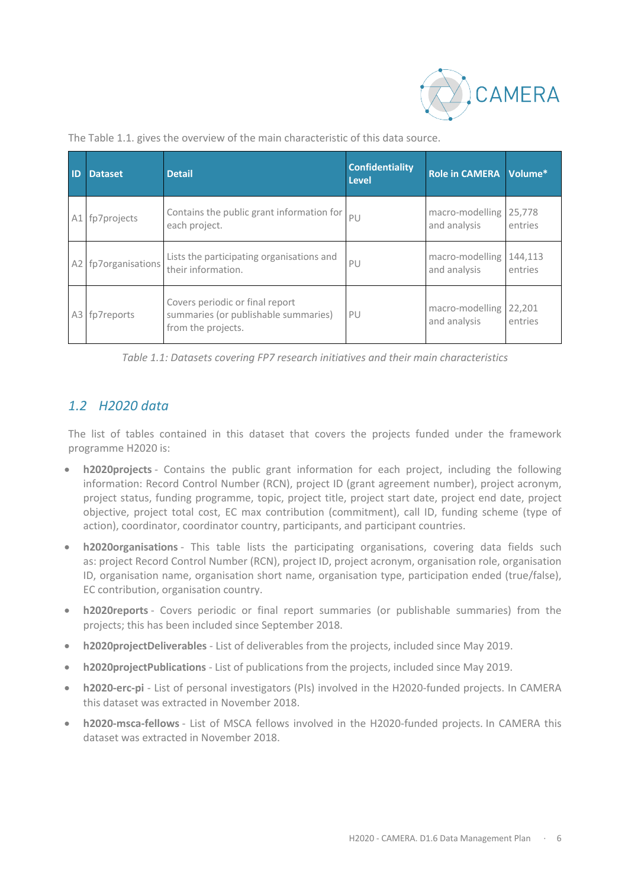

| <b>ID</b>      | <b>Dataset</b>   | <b>Detail</b>                                                                                 | <b>Confidentiality</b><br><b>Level</b> | <b>Role in CAMERA</b>           | Volume*            |
|----------------|------------------|-----------------------------------------------------------------------------------------------|----------------------------------------|---------------------------------|--------------------|
| A1             | fp7projects      | Contains the public grant information for<br>each project.                                    | PU                                     | macro-modelling<br>and analysis | 25,778<br>entries  |
| A <sub>2</sub> | fp7organisations | Lists the participating organisations and<br>their information.                               | PU                                     | macro-modelling<br>and analysis | 144,113<br>entries |
| A3             | fp7reports       | Covers periodic or final report<br>summaries (or publishable summaries)<br>from the projects. | PU                                     | macro-modelling<br>and analysis | 22,201<br>entries  |

The Table 1.1. gives the overview of the main characteristic of this data source.

*Table 1.1: Datasets covering FP7 research initiatives and their main characteristics*

## *1.2 H2020 data*

The list of tables contained in this dataset that covers the projects funded under the framework programme H2020 is:

- **h2020projects** Contains the public grant information for each project, including the following information: Record Control Number (RCN), project ID (grant agreement number), project acronym, project status, funding programme, topic, project title, project start date, project end date, project objective, project total cost, EC max contribution (commitment), call ID, funding scheme (type of action), coordinator, coordinator country, participants, and participant countries.
- **h2020organisations** This table lists the participating organisations, covering data fields such as: project Record Control Number (RCN), project ID, project acronym, organisation role, organisation ID, organisation name, organisation short name, organisation type, participation ended (true/false), EC contribution, organisation country.
- **h2020reports** Covers periodic or final report summaries (or publishable summaries) from the projects; this has been included since September 2018.
- **h2020projectDeliverables** List of deliverables from the projects, included since May 2019.
- **h2020projectPublications** List of publications from the projects, included since May 2019.
- **h2020-erc-pi** List of personal investigators (PIs) involved in the H2020-funded projects. In CAMERA this dataset was extracted in November 2018.
- **h2020-msca-fellows** List of MSCA fellows involved in the H2020-funded projects. In CAMERA this dataset was extracted in November 2018.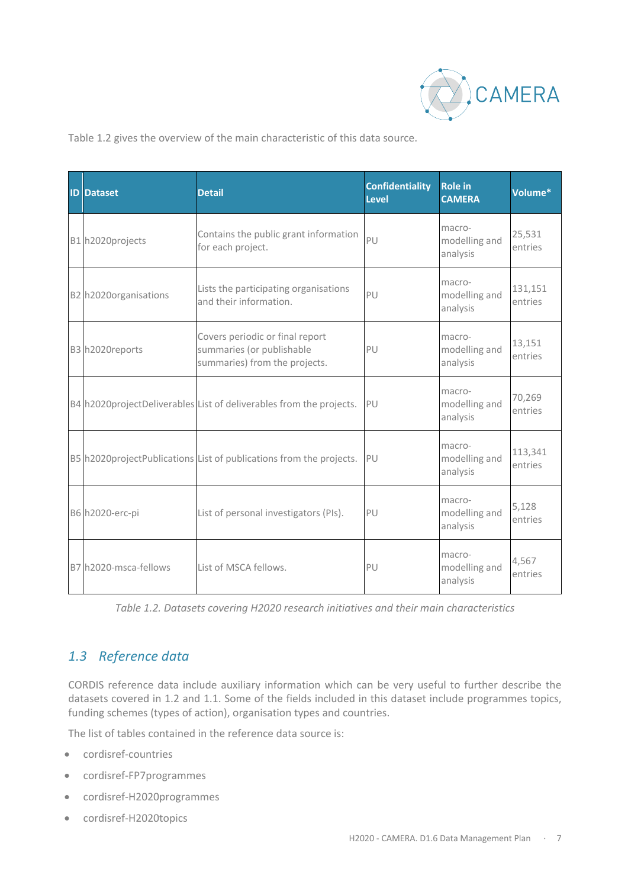

Table 1.2 gives the overview of the main characteristic of this data source.

| <b>ID Dataset</b>     | <b>Detail</b>                                                                                 | <b>Confidentiality</b><br><b>Level</b> | <b>Role in</b><br><b>CAMERA</b>     | Volume*            |
|-----------------------|-----------------------------------------------------------------------------------------------|----------------------------------------|-------------------------------------|--------------------|
| B1 h2020projects      | Contains the public grant information<br>for each project.                                    | PU                                     | macro-<br>modelling and<br>analysis | 25,531<br>entries  |
| B2 h2020organisations | Lists the participating organisations<br>and their information.                               | P                                      | macro-<br>modelling and<br>analysis | 131,151<br>entries |
| B3 h2020reports       | Covers periodic or final report<br>summaries (or publishable<br>summaries) from the projects. | PU                                     | macro-<br>modelling and<br>analysis | 13,151<br>entries  |
|                       | B4 h2020projectDeliverables List of deliverables from the projects.                           | PU                                     | macro-<br>modelling and<br>analysis | 70,269<br>entries  |
|                       | B5 h2020projectPublications List of publications from the projects.                           | PU                                     | macro-<br>modelling and<br>analysis | 113,341<br>entries |
| B6 h2020-erc-pi       | List of personal investigators (PIs).                                                         | PU                                     | macro-<br>modelling and<br>analysis | 5,128<br>entries   |
| B7 h2020-msca-fellows | List of MSCA fellows.                                                                         | PU                                     | macro-<br>modelling and<br>analysis | 4,567<br>entries   |

*Table 1.2. Datasets covering H2020 research initiatives and their main characteristics*

## *1.3 Reference data*

CORDIS reference data include auxiliary information which can be very useful to further describe the datasets covered in 1.2 and 1.1. Some of the fields included in this dataset include programmes topics, funding schemes (types of action), organisation types and countries.

The list of tables contained in the reference data source is:

- cordisref-countries
- cordisref-FP7programmes
- cordisref-H2020programmes
- cordisref-H2020topics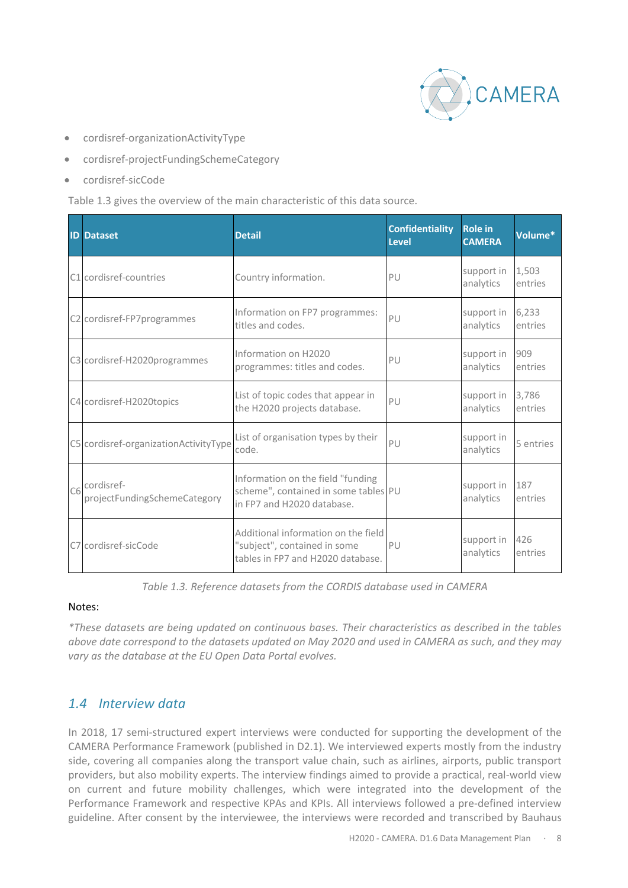

- cordisref-organizationActivityType
- cordisref-projectFundingSchemeCategory
- cordisref-sicCode

Table 1.3 gives the overview of the main characteristic of this data source.

| <b>ID Dataset</b>                                         | <b>Detail</b>                                                                                            | <b>Confidentiality</b><br><b>Level</b> | <b>Role in</b><br><b>CAMERA</b> | Volume*          |
|-----------------------------------------------------------|----------------------------------------------------------------------------------------------------------|----------------------------------------|---------------------------------|------------------|
| C1 cordisref-countries                                    | Country information.                                                                                     | PU                                     | support in<br>analytics         | 1,503<br>entries |
| C2 cordisref-FP7programmes                                | Information on FP7 programmes:<br>titles and codes.                                                      | PU                                     | support in<br>analytics         | 6,233<br>entries |
| C3 cordisref-H2020programmes                              | Information on H2020<br>programmes: titles and codes.                                                    | PU                                     | support in<br>analytics         | 909<br>entries   |
| C4 cordisref-H2020topics                                  | List of topic codes that appear in<br>the H2020 projects database.                                       | PU                                     | support in<br>analytics         | 3,786<br>entries |
| C5 cordisref-organizationActivityType                     | List of organisation types by their<br>code.                                                             | PU                                     | support in<br>analytics         | 5 entries        |
| C <sub>6</sub> cordisref-<br>projectFundingSchemeCategory | Information on the field "funding<br>scheme", contained in some tables PU<br>in FP7 and H2020 database.  |                                        | support in<br>analytics         | 187<br>entries   |
| C7 cordisref-sicCode                                      | Additional information on the field<br>"subject", contained in some<br>tables in FP7 and H2020 database. | PU                                     | support in<br>analytics         | 426<br>entries   |

*Table 1.3. Reference datasets from the CORDIS database used in CAMERA*

#### Notes:

*\*These datasets are being updated on continuous bases. Their characteristics as described in the tables above date correspond to the datasets updated on May 2020 and used in CAMERA as such, and they may vary as the database at the EU Open Data Portal evolves.*

## *1.4 Interview data*

In 2018, 17 semi-structured expert interviews were conducted for supporting the development of the CAMERA Performance Framework (published in D2.1). We interviewed experts mostly from the industry side, covering all companies along the transport value chain, such as airlines, airports, public transport providers, but also mobility experts. The interview findings aimed to provide a practical, real-world view on current and future mobility challenges, which were integrated into the development of the Performance Framework and respective KPAs and KPIs. All interviews followed a pre-defined interview guideline. After consent by the interviewee, the interviews were recorded and transcribed by Bauhaus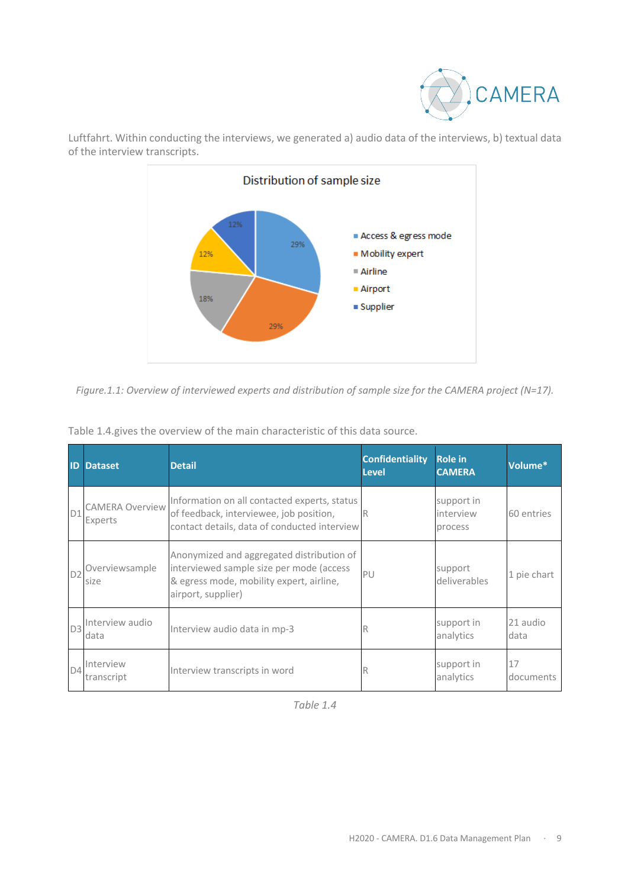



Luftfahrt. Within conducting the interviews, we generated a) audio data of the interviews, b) textual data of the interview transcripts.

*Figure.1.1: Overview of interviewed experts and distribution of sample size for the CAMERA project (N=17).*

|                | <b>ID</b> Dataset                 | <b>Detail</b>                                                                                                                                           | <b>Confidentiality</b><br><b>Level</b> | <b>Role in</b><br><b>CAMERA</b>    | Volume*          |
|----------------|-----------------------------------|---------------------------------------------------------------------------------------------------------------------------------------------------------|----------------------------------------|------------------------------------|------------------|
| D1             | <b>CAMERA Overview</b><br>Experts | Information on all contacted experts, status<br>of feedback, interviewee, job position,<br>contact details, data of conducted interview                 | R                                      | support in<br>interview<br>process | 60 entries       |
| D <sub>2</sub> | Overviewsample<br>size            | Anonymized and aggregated distribution of<br>interviewed sample size per mode (access<br>& egress mode, mobility expert, airline,<br>airport, supplier) | PU                                     | support<br>deliverables            | 1 pie chart      |
| D <sub>3</sub> | Interview audio<br>data           | Interview audio data in mp-3                                                                                                                            | R                                      | support in<br>analytics            | 21 audio<br>data |
| D4             | Interview<br>transcript           | Interview transcripts in word                                                                                                                           | R                                      | support in<br>analytics            | 17<br>documents  |

Table 1.4.gives the overview of the main characteristic of this data source.

*Table 1.4*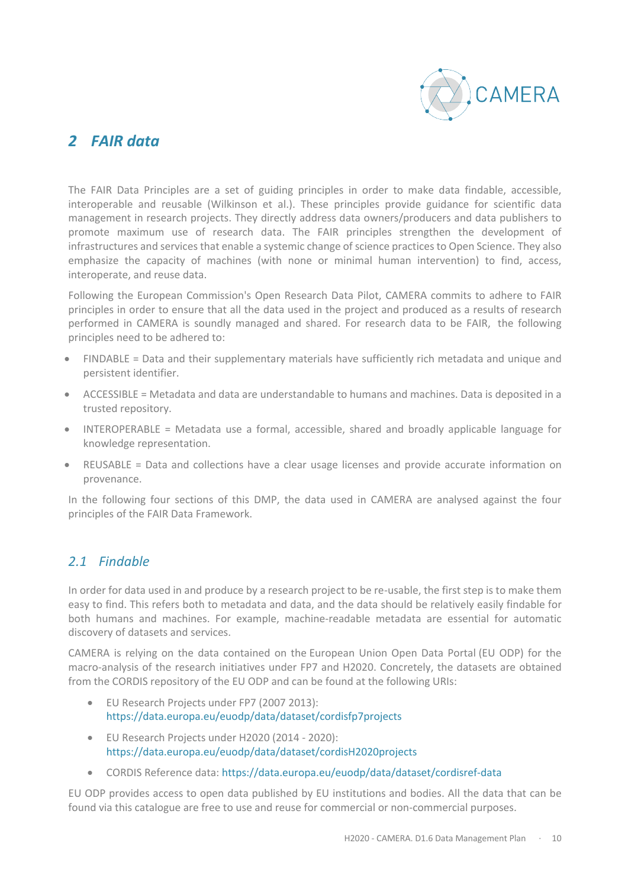

## *2 FAIR data*

The FAIR Data Principles are a set of guiding principles in order to make data findable, accessible, interoperable and reusable (Wilkinson et al.). These principles provide guidance for scientific data management in research projects. They directly address data owners/producers and data publishers to promote maximum use of research data. The FAIR principles strengthen the development of infrastructures and services that enable a systemic change of science practices to Open Science. They also emphasize the capacity of machines (with none or minimal human intervention) to find, access, interoperate, and reuse data.

Following the European Commission's Open Research Data Pilot, CAMERA commits to adhere to FAIR principles in order to ensure that all the data used in the project and produced as a results of research performed in CAMERA is soundly managed and shared. For research data to be FAIR, the following principles need to be adhered to:

- FINDABLE = Data and their supplementary materials have sufficiently rich metadata and unique and persistent identifier.
- ACCESSIBLE = Metadata and data are understandable to humans and machines. Data is deposited in a trusted repository.
- INTEROPERABLE = Metadata use a formal, accessible, shared and broadly applicable language for knowledge representation.
- REUSABLE = Data and collections have a clear usage licenses and provide accurate information on provenance.

In the following four sections of this DMP, the data used in CAMERA are analysed against the four principles of the FAIR Data Framework.

## *2.1 Findable*

In order for data used in and produce by a research project to be re-usable, the first step is to make them easy to find. This refers both to metadata and data, and the data should be relatively easily findable for both humans and machines. For example, machine-readable metadata are essential for automatic discovery of datasets and services.

CAMERA is relying on the data contained on the European Union Open Data Portal (EU ODP) for the macro-analysis of the research initiatives under FP7 and H2020. Concretely, the datasets are obtained from the CORDIS repository of the EU ODP and can be found at the following URIs:

- EU Research Projects under FP7 (2007 2013): https://data.europa.eu/euodp/data/dataset/cordisfp7projects
- EU Research Projects under H2020 (2014 2020): https://data.europa.eu/euodp/data/dataset/cordisH2020projects
- CORDIS Reference data: https://data.europa.eu/euodp/data/dataset/cordisref-data

EU ODP provides access to open data published by EU institutions and bodies. All the data that can be found via this catalogue are free to use and reuse for commercial or non-commercial purposes.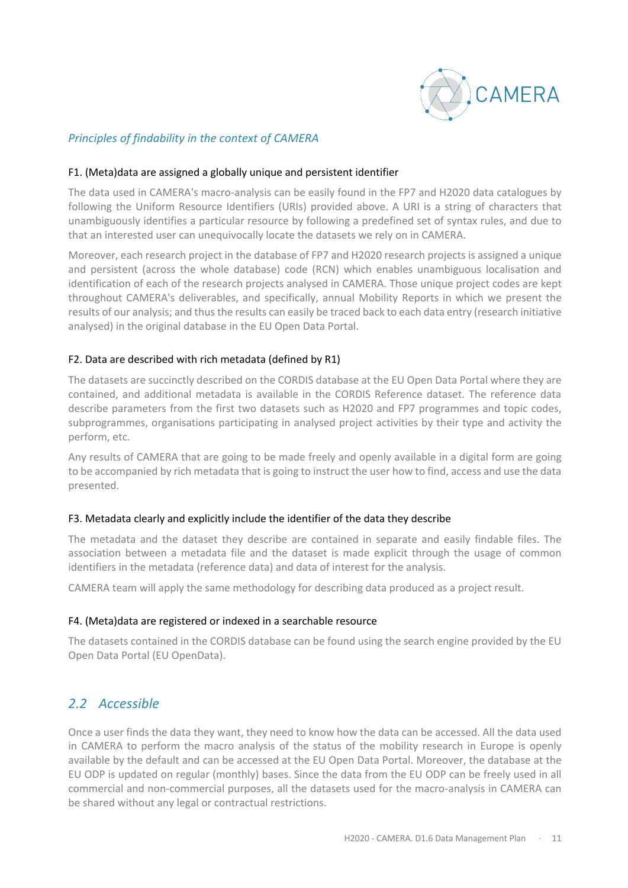

#### *Principles of findability in the context of CAMERA*

#### F1. (Meta)data are assigned a globally unique and persistent identifier

The data used in CAMERA's macro-analysis can be easily found in the FP7 and H2020 data catalogues by following the Uniform Resource Identifiers (URIs) provided above. A URI is a string of characters that unambiguously identifies a particular resource by following a predefined set of syntax rules, and due to that an interested user can unequivocally locate the datasets we rely on in CAMERA.

Moreover, each research project in the database of FP7 and H2020 research projects is assigned a unique and persistent (across the whole database) code (RCN) which enables unambiguous localisation and identification of each of the research projects analysed in CAMERA. Those unique project codes are kept throughout CAMERA's deliverables, and specifically, annual Mobility Reports in which we present the results of our analysis; and thus the results can easily be traced back to each data entry (research initiative analysed) in the original database in the EU Open Data Portal.

#### F2. Data are described with rich metadata (defined by R1)

The datasets are succinctly described on the CORDIS database at the EU Open Data Portal where they are contained, and additional metadata is available in the CORDIS Reference dataset. The reference data describe parameters from the first two datasets such as H2020 and FP7 programmes and topic codes, subprogrammes, organisations participating in analysed project activities by their type and activity the perform, etc.

Any results of CAMERA that are going to be made freely and openly available in a digital form are going to be accompanied by rich metadata that is going to instruct the user how to find, access and use the data presented.

#### F3. Metadata clearly and explicitly include the identifier of the data they describe

The metadata and the dataset they describe are contained in separate and easily findable files. The association between a metadata file and the dataset is made explicit through the usage of common identifiers in the metadata (reference data) and data of interest for the analysis.

CAMERA team will apply the same methodology for describing data produced as a project result.

#### F4. (Meta)data are registered or indexed in a searchable resource

The datasets contained in the CORDIS database can be found using the search engine provided by the EU Open Data Portal (EU OpenData).

## *2.2 Accessible*

Once a user finds the data they want, they need to know how the data can be accessed. All the data used in CAMERA to perform the macro analysis of the status of the mobility research in Europe is openly available by the default and can be accessed at the EU Open Data Portal. Moreover, the database at the EU ODP is updated on regular (monthly) bases. Since the data from the EU ODP can be freely used in all commercial and non-commercial purposes, all the datasets used for the macro-analysis in CAMERA can be shared without any legal or contractual restrictions.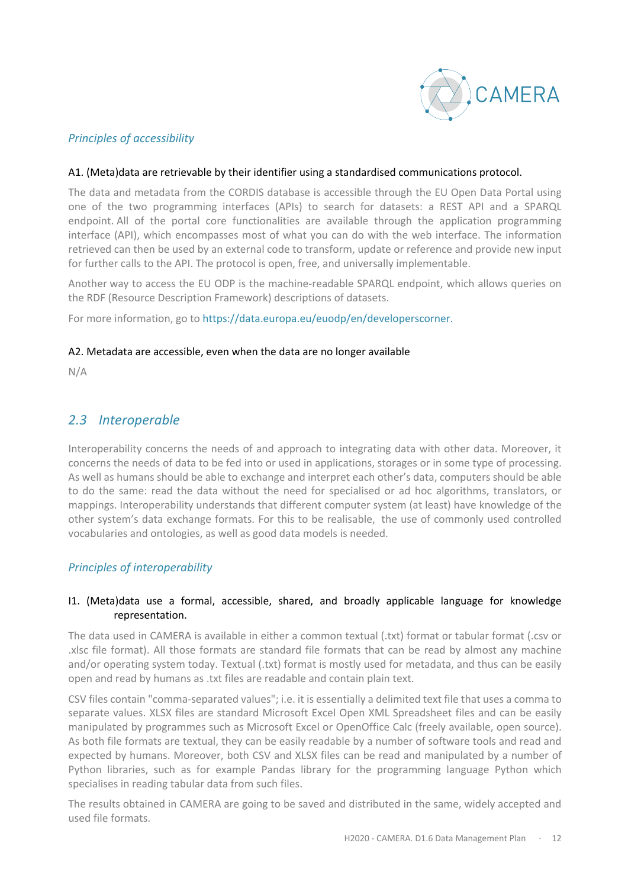

#### *Principles of accessibility*

#### A1. (Meta)data are retrievable by their identifier using a standardised communications protocol.

The data and metadata from the CORDIS database is accessible through the EU Open Data Portal using one of the two programming interfaces (APIs) to search for datasets: a REST API and a SPARQL endpoint. All of the portal core functionalities are available through the application programming interface (API), which encompasses most of what you can do with the web interface. The information retrieved can then be used by an external code to transform, update or reference and provide new input for further calls to the API. The protocol is open, free, and universally implementable.

Another way to access the EU ODP is the machine-readable SPARQL endpoint, which allows queries on the RDF (Resource Description Framework) descriptions of datasets.

For more information, go to https://data.europa.eu/euodp/en/developerscorner.

#### A2. Metadata are accessible, even when the data are no longer available

N/A

#### *2.3 Interoperable*

Interoperability concerns the needs of and approach to integrating data with other data. Moreover, it concerns the needs of data to be fed into or used in applications, storages or in some type of processing. As well as humans should be able to exchange and interpret each other's data, computers should be able to do the same: read the data without the need for specialised or ad hoc algorithms, translators, or mappings. Interoperability understands that different computer system (at least) have knowledge of the other system's data exchange formats. For this to be realisable, the use of commonly used controlled vocabularies and ontologies, as well as good data models is needed.

#### *Principles of interoperability*

#### I1. (Meta)data use a formal, accessible, shared, and broadly applicable language for knowledge representation.

The data used in CAMERA is available in either a common textual (.txt) format or tabular format (.csv or .xlsc file format). All those formats are standard file formats that can be read by almost any machine and/or operating system today. Textual (.txt) format is mostly used for metadata, and thus can be easily open and read by humans as .txt files are readable and contain plain text.

CSV files contain "comma-separated values"; i.e. it is essentially a delimited text file that uses a comma to separate values. XLSX files are standard Microsoft Excel Open XML Spreadsheet files and can be easily manipulated by programmes such as Microsoft Excel or OpenOffice Calc (freely available, open source). As both file formats are textual, they can be easily readable by a number of software tools and read and expected by humans. Moreover, both CSV and XLSX files can be read and manipulated by a number of Python libraries, such as for example Pandas library for the programming language Python which specialises in reading tabular data from such files.

The results obtained in CAMERA are going to be saved and distributed in the same, widely accepted and used file formats.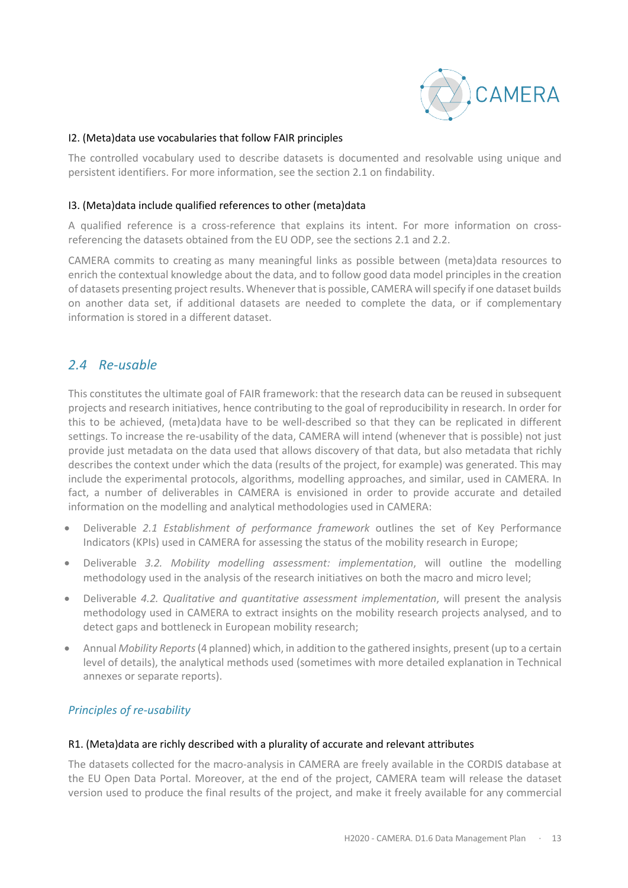

#### I2. (Meta)data use vocabularies that follow FAIR principles

The controlled vocabulary used to describe datasets is documented and resolvable using unique and persistent identifiers. For more information, see the section 2.1 on findability.

#### I3. (Meta)data include qualified references to other (meta)data

A qualified reference is a cross-reference that explains its intent. For more information on crossreferencing the datasets obtained from the EU ODP, see the sections 2.1 and 2.2.

CAMERA commits to creating as many meaningful links as possible between (meta)data resources to enrich the contextual knowledge about the data, and to follow good data model principles in the creation of datasets presenting project results. Whenever that is possible, CAMERA will specify if one dataset builds on another data set, if additional datasets are needed to complete the data, or if complementary information is stored in a different dataset.

#### *2.4 Re-usable*

This constitutes the ultimate goal of FAIR framework: that the research data can be reused in subsequent projects and research initiatives, hence contributing to the goal of reproducibility in research. In order for this to be achieved, (meta)data have to be well-described so that they can be replicated in different settings. To increase the re-usability of the data, CAMERA will intend (whenever that is possible) not just provide just metadata on the data used that allows discovery of that data, but also metadata that richly describes the context under which the data (results of the project, for example) was generated. This may include the experimental protocols, algorithms, modelling approaches, and similar, used in CAMERA. In fact, a number of deliverables in CAMERA is envisioned in order to provide accurate and detailed information on the modelling and analytical methodologies used in CAMERA:

- Deliverable *2.1 Establishment of performance framework* outlines the set of Key Performance Indicators (KPIs) used in CAMERA for assessing the status of the mobility research in Europe;
- Deliverable *3.2. Mobility modelling assessment: implementation*, will outline the modelling methodology used in the analysis of the research initiatives on both the macro and micro level;
- Deliverable *4.2. Qualitative and quantitative assessment implementation*, will present the analysis methodology used in CAMERA to extract insights on the mobility research projects analysed, and to detect gaps and bottleneck in European mobility research;
- Annual *Mobility Reports*(4 planned) which, in addition to the gathered insights, present (up to a certain level of details), the analytical methods used (sometimes with more detailed explanation in Technical annexes or separate reports).

#### *Principles of re-usability*

#### R1. (Meta)data are richly described with a plurality of accurate and relevant attributes

The datasets collected for the macro-analysis in CAMERA are freely available in the CORDIS database at the EU Open Data Portal. Moreover, at the end of the project, CAMERA team will release the dataset version used to produce the final results of the project, and make it freely available for any commercial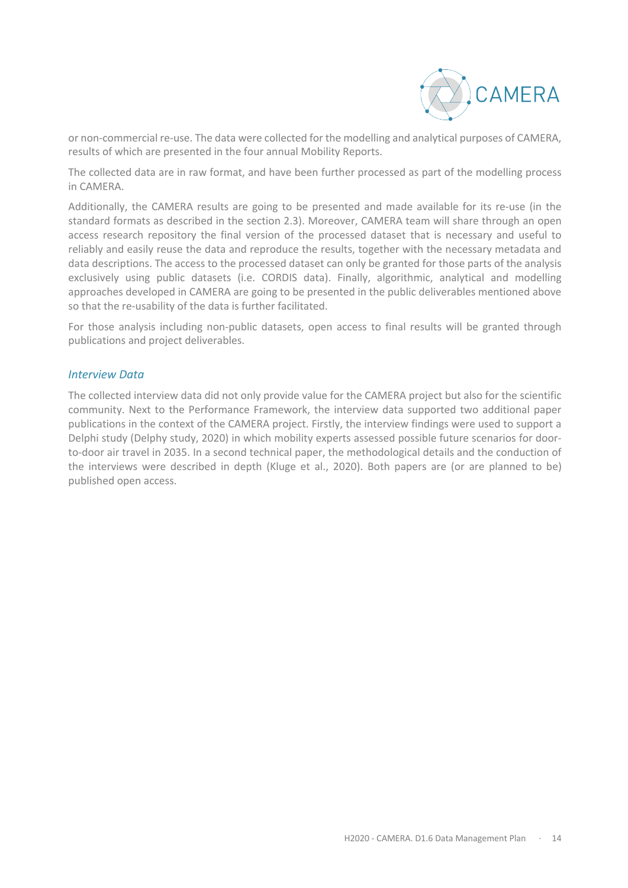

or non-commercial re-use. The data were collected for the modelling and analytical purposes of CAMERA, results of which are presented in the four annual Mobility Reports.

The collected data are in raw format, and have been further processed as part of the modelling process in CAMERA.

Additionally, the CAMERA results are going to be presented and made available for its re-use (in the standard formats as described in the section 2.3). Moreover, CAMERA team will share through an open access research repository the final version of the processed dataset that is necessary and useful to reliably and easily reuse the data and reproduce the results, together with the necessary metadata and data descriptions. The access to the processed dataset can only be granted for those parts of the analysis exclusively using public datasets (i.e. CORDIS data). Finally, algorithmic, analytical and modelling approaches developed in CAMERA are going to be presented in the public deliverables mentioned above so that the re-usability of the data is further facilitated.

For those analysis including non-public datasets, open access to final results will be granted through publications and project deliverables.

#### *Interview Data*

The collected interview data did not only provide value for the CAMERA project but also for the scientific community. Next to the Performance Framework, the interview data supported two additional paper publications in the context of the CAMERA project. Firstly, the interview findings were used to support a Delphi study (Delphy study, 2020) in which mobility experts assessed possible future scenarios for doorto-door air travel in 2035. In a second technical paper, the methodological details and the conduction of the interviews were described in depth (Kluge et al., 2020). Both papers are (or are planned to be) published open access.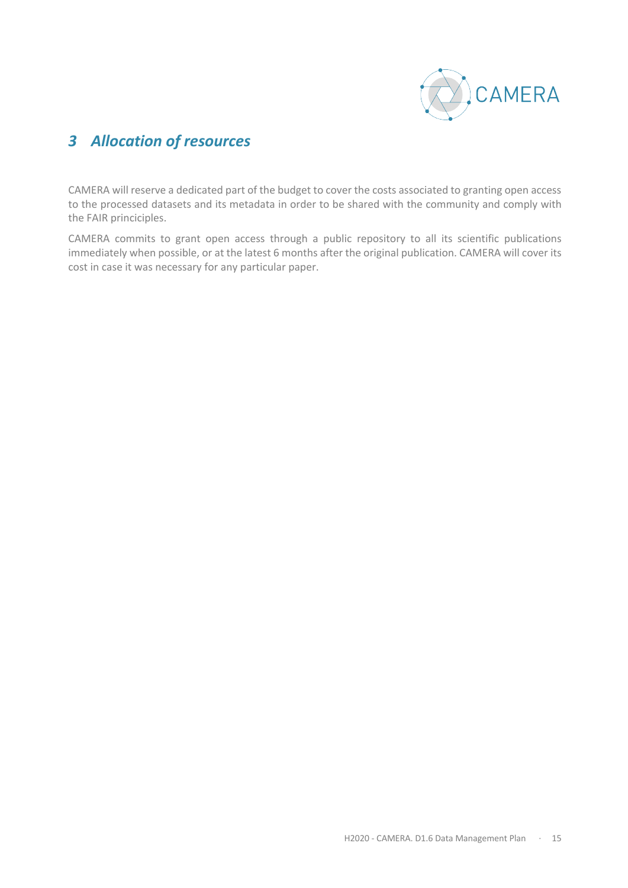

## *3 Allocation of resources*

CAMERA will reserve a dedicated part of the budget to cover the costs associated to granting open access to the processed datasets and its metadata in order to be shared with the community and comply with the FAIR princiciples.

CAMERA commits to grant open access through a public repository to all its scientific publications immediately when possible, or at the latest 6 months after the original publication. CAMERA will cover its cost in case it was necessary for any particular paper.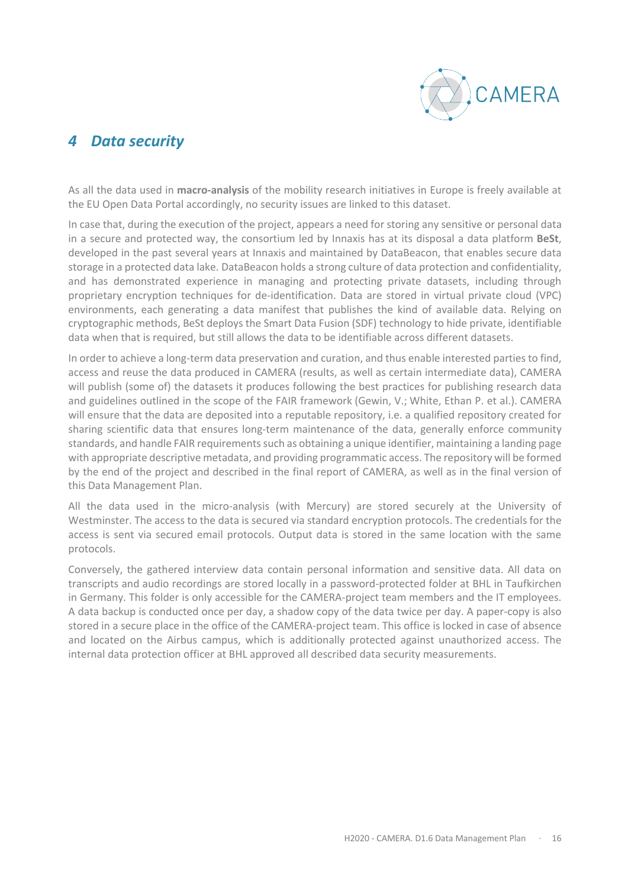

## *4 Data security*

As all the data used in **macro-analysis** of the mobility research initiatives in Europe is freely available at the EU Open Data Portal accordingly, no security issues are linked to this dataset.

In case that, during the execution of the project, appears a need for storing any sensitive or personal data in a secure and protected way, the consortium led by Innaxis has at its disposal a data platform **BeSt**, developed in the past several years at Innaxis and maintained by DataBeacon, that enables secure data storage in a protected data lake. DataBeacon holds a strong culture of data protection and confidentiality, and has demonstrated experience in managing and protecting private datasets, including through proprietary encryption techniques for de-identification. Data are stored in virtual private cloud (VPC) environments, each generating a data manifest that publishes the kind of available data. Relying on cryptographic methods, BeSt deploys the Smart Data Fusion (SDF) technology to hide private, identifiable data when that is required, but still allows the data to be identifiable across different datasets.

In order to achieve a long-term data preservation and curation, and thus enable interested parties to find, access and reuse the data produced in CAMERA (results, as well as certain intermediate data), CAMERA will publish (some of) the datasets it produces following the best practices for publishing research data and guidelines outlined in the scope of the FAIR framework (Gewin, V.; White, Ethan P. et al.). CAMERA will ensure that the data are deposited into a reputable repository, i.e. a qualified repository created for sharing scientific data that ensures long-term maintenance of the data, generally enforce community standards, and handle FAIR requirements such as obtaining a unique identifier, maintaining a landing page with appropriate descriptive metadata, and providing programmatic access. The repository will be formed by the end of the project and described in the final report of CAMERA, as well as in the final version of this Data Management Plan.

All the data used in the micro-analysis (with Mercury) are stored securely at the University of Westminster. The access to the data is secured via standard encryption protocols. The credentials for the access is sent via secured email protocols. Output data is stored in the same location with the same protocols.

Conversely, the gathered interview data contain personal information and sensitive data. All data on transcripts and audio recordings are stored locally in a password-protected folder at BHL in Taufkirchen in Germany. This folder is only accessible for the CAMERA-project team members and the IT employees. A data backup is conducted once per day, a shadow copy of the data twice per day. A paper-copy is also stored in a secure place in the office of the CAMERA-project team. This office is locked in case of absence and located on the Airbus campus, which is additionally protected against unauthorized access. The internal data protection officer at BHL approved all described data security measurements.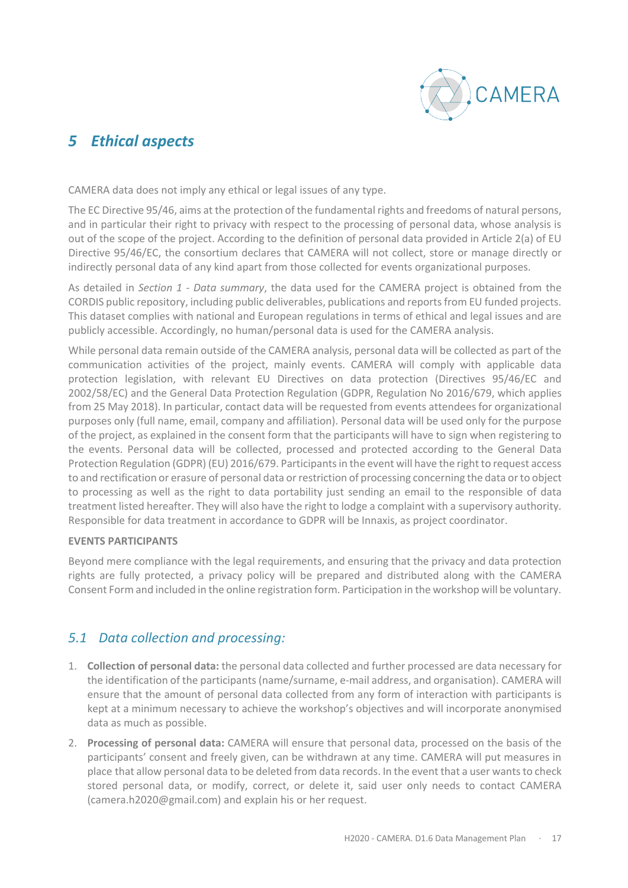

## *5 Ethical aspects*

CAMERA data does not imply any ethical or legal issues of any type.

The EC Directive 95/46, aims at the protection of the fundamental rights and freedoms of natural persons, and in particular their right to privacy with respect to the processing of personal data, whose analysis is out of the scope of the project. According to the definition of personal data provided in Article 2(a) of EU Directive 95/46/EC, the consortium declares that CAMERA will not collect, store or manage directly or indirectly personal data of any kind apart from those collected for events organizational purposes.

As detailed in *Section 1 - Data summary*, the data used for the CAMERA project is obtained from the CORDIS public repository, including public deliverables, publications and reports from EU funded projects. This dataset complies with national and European regulations in terms of ethical and legal issues and are publicly accessible. Accordingly, no human/personal data is used for the CAMERA analysis.

While personal data remain outside of the CAMERA analysis, personal data will be collected as part of the communication activities of the project, mainly events. CAMERA will comply with applicable data protection legislation, with relevant EU Directives on data protection (Directives 95/46/EC and 2002/58/EC) and the General Data Protection Regulation (GDPR, Regulation No 2016/679, which applies from 25 May 2018). In particular, contact data will be requested from events attendees for organizational purposes only (full name, email, company and affiliation). Personal data will be used only for the purpose of the project, as explained in the consent form that the participants will have to sign when registering to the events. Personal data will be collected, processed and protected according to the General Data Protection Regulation (GDPR) (EU) 2016/679. Participants in the event will have the right to request access to and rectification or erasure of personal data or restriction of processing concerning the data or to object to processing as well as the right to data portability just sending an email to the responsible of data treatment listed hereafter. They will also have the right to lodge a complaint with a supervisory authority. Responsible for data treatment in accordance to GDPR will be Innaxis, as project coordinator.

#### **EVENTS PARTICIPANTS**

Beyond mere compliance with the legal requirements, and ensuring that the privacy and data protection rights are fully protected, a privacy policy will be prepared and distributed along with the CAMERA Consent Form and included in the online registration form. Participation in the workshop will be voluntary.

## *5.1 Data collection and processing:*

- 1. **Collection of personal data:** the personal data collected and further processed are data necessary for the identification of the participants (name/surname, e-mail address, and organisation). CAMERA will ensure that the amount of personal data collected from any form of interaction with participants is kept at a minimum necessary to achieve the workshop's objectives and will incorporate anonymised data as much as possible.
- 2. **Processing of personal data:** CAMERA will ensure that personal data, processed on the basis of the participants' consent and freely given, can be withdrawn at any time. CAMERA will put measures in place that allow personal data to be deleted from data records. In the event that a user wants to check stored personal data, or modify, correct, or delete it, said user only needs to contact CAMERA (camera.h2020@gmail.com) and explain his or her request.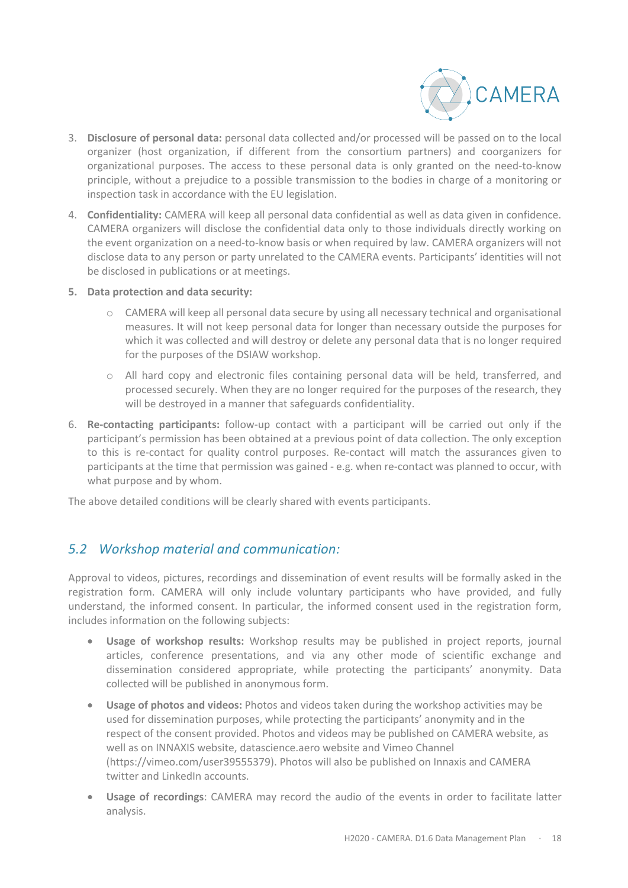

- 3. **Disclosure of personal data:** personal data collected and/or processed will be passed on to the local organizer (host organization, if different from the consortium partners) and coorganizers for organizational purposes. The access to these personal data is only granted on the need-to-know principle, without a prejudice to a possible transmission to the bodies in charge of a monitoring or inspection task in accordance with the EU legislation.
- 4. **Confidentiality:** CAMERA will keep all personal data confidential as well as data given in confidence. CAMERA organizers will disclose the confidential data only to those individuals directly working on the event organization on a need-to-know basis or when required by law. CAMERA organizers will not disclose data to any person or party unrelated to the CAMERA events. Participants' identities will not be disclosed in publications or at meetings.
- **5. Data protection and data security:**
	- o CAMERA will keep all personal data secure by using all necessary technical and organisational measures. It will not keep personal data for longer than necessary outside the purposes for which it was collected and will destroy or delete any personal data that is no longer required for the purposes of the DSIAW workshop.
	- o All hard copy and electronic files containing personal data will be held, transferred, and processed securely. When they are no longer required for the purposes of the research, they will be destroyed in a manner that safeguards confidentiality.
- 6. **Re-contacting participants:** follow-up contact with a participant will be carried out only if the participant's permission has been obtained at a previous point of data collection. The only exception to this is re-contact for quality control purposes. Re-contact will match the assurances given to participants at the time that permission was gained - e.g. when re-contact was planned to occur, with what purpose and by whom.

The above detailed conditions will be clearly shared with events participants.

## *5.2 Workshop material and communication:*

Approval to videos, pictures, recordings and dissemination of event results will be formally asked in the registration form. CAMERA will only include voluntary participants who have provided, and fully understand, the informed consent. In particular, the informed consent used in the registration form, includes information on the following subjects:

- **Usage of workshop results:** Workshop results may be published in project reports, journal articles, conference presentations, and via any other mode of scientific exchange and dissemination considered appropriate, while protecting the participants' anonymity. Data collected will be published in anonymous form.
- **Usage of photos and videos:** Photos and videos taken during the workshop activities may be used for dissemination purposes, while protecting the participants' anonymity and in the respect of the consent provided. Photos and videos may be published on CAMERA website, as well as on INNAXIS website, datascience.aero website and Vimeo Channel (https://vimeo.com/user39555379). Photos will also be published on Innaxis and CAMERA twitter and LinkedIn accounts.
- **Usage of recordings**: CAMERA may record the audio of the events in order to facilitate latter analysis.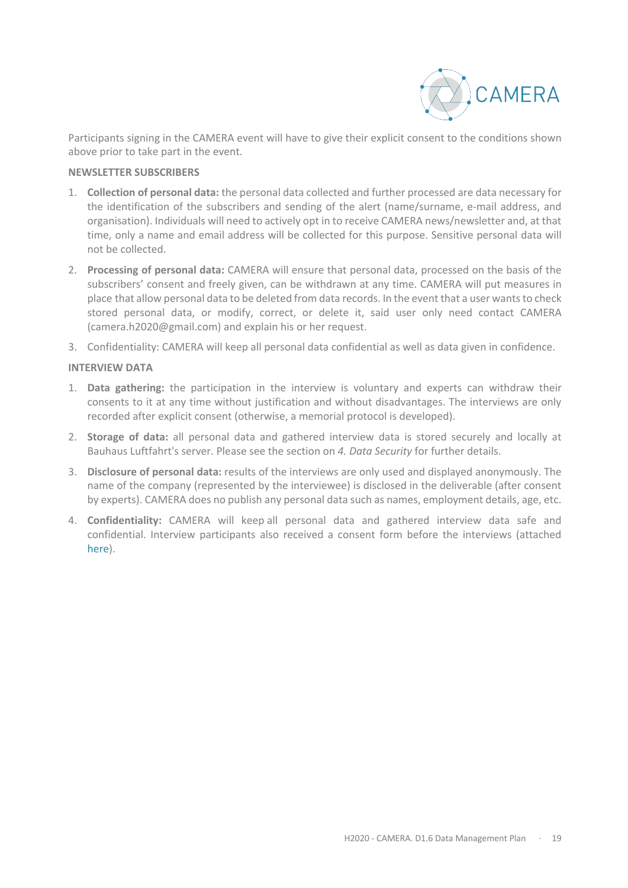

Participants signing in the CAMERA event will have to give their explicit consent to the conditions shown above prior to take part in the event.

#### **NEWSLETTER SUBSCRIBERS**

- 1. **Collection of personal data:** the personal data collected and further processed are data necessary for the identification of the subscribers and sending of the alert (name/surname, e-mail address, and organisation). Individuals will need to actively opt in to receive CAMERA news/newsletter and, at that time, only a name and email address will be collected for this purpose. Sensitive personal data will not be collected.
- 2. **Processing of personal data:** CAMERA will ensure that personal data, processed on the basis of the subscribers' consent and freely given, can be withdrawn at any time. CAMERA will put measures in place that allow personal data to be deleted from data records. In the event that a user wants to check stored personal data, or modify, correct, or delete it, said user only need contact CAMERA (camera.h2020@gmail.com) and explain his or her request.
- 3. Confidentiality: CAMERA will keep all personal data confidential as well as data given in confidence.

#### **INTERVIEW DATA**

- 1. **Data gathering:** the participation in the interview is voluntary and experts can withdraw their consents to it at any time without justification and without disadvantages. The interviews are only recorded after explicit consent (otherwise, a memorial protocol is developed).
- 2. **Storage of data:** all personal data and gathered interview data is stored securely and locally at Bauhaus Luftfahrt's server. Please see the section on *4. Data Security* for further details.
- 3. **Disclosure of personal data:** results of the interviews are only used and displayed anonymously. The name of the company (represented by the interviewee) is disclosed in the deliverable (after consent by experts). CAMERA does no publish any personal data such as names, employment details, age, etc.
- 4. **Confidentiality:** CAMERA will keep all personal data and gathered interview data safe and confidential. Interview participants also received a consent form before the interviews (attached here).